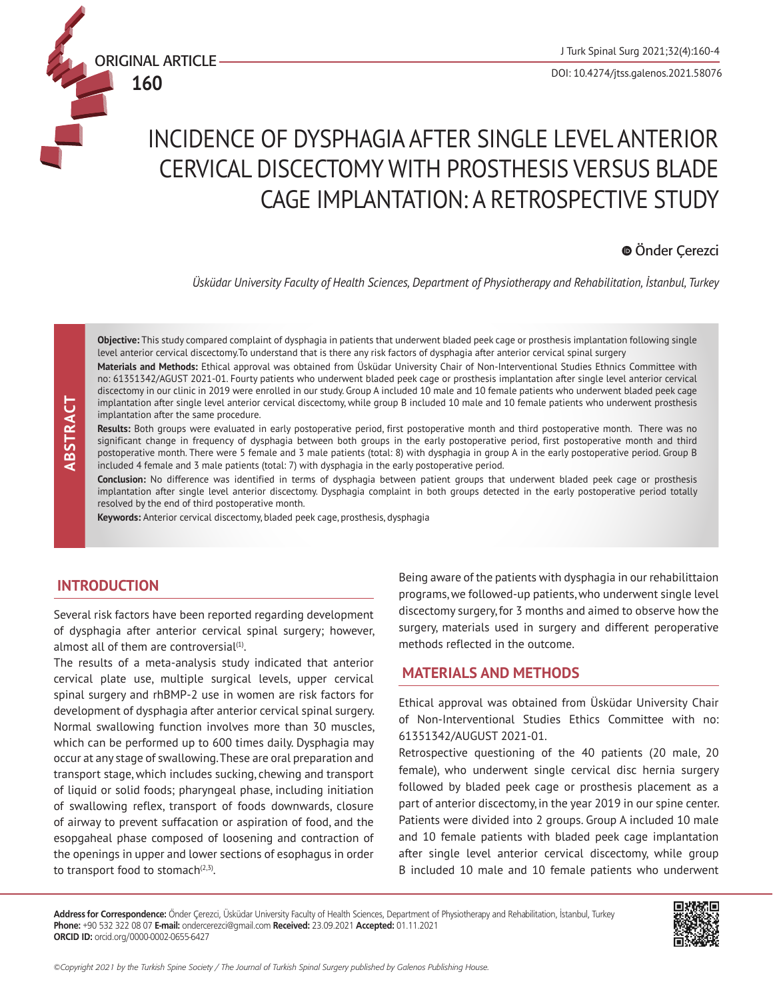

**160**

# INCIDENCE OF DYSPHAGIA AFTER SINGLE LEVEL ANTERIOR CERVICAL DISCECTOMY WITH PROSTHESIS VERSUS BLADE CAGE IMPLANTATION: A RETROSPECTIVE STUDY

# Önder Çerezci

*Üsküdar University Faculty of Health Sciences, Department of Physiotherapy and Rehabilitation, İstanbul, Turkey*

 **ABSTRACT** ABSTRACT **Objective:** This study compared complaint of dysphagia in patients that underwent bladed peek cage or prosthesis implantation following single level anterior cervical discectomy.To understand that is there any risk factors of dysphagia after anterior cervical spinal surgery

**Materials and Methods:** Ethical approval was obtained from Üsküdar University Chair of Non-Interventional Studies Ethnics Committee with no: 61351342/AGUST 2021-01. Fourty patients who underwent bladed peek cage or prosthesis implantation after single level anterior cervical discectomy in our clinic in 2019 were enrolled in our study. Group A included 10 male and 10 female patients who underwent bladed peek cage implantation after single level anterior cervical discectomy, while group B included 10 male and 10 female patients who underwent prosthesis implantation after the same procedure.

**Results:** Both groups were evaluated in early postoperative period, first postoperative month and third postoperative month. There was no significant change in frequency of dysphagia between both groups in the early postoperative period, first postoperative month and third postoperative month. There were 5 female and 3 male patients (total: 8) with dysphagia in group A in the early postoperative period. Group B included 4 female and 3 male patients (total: 7) with dysphagia in the early postoperative period.

**Conclusion:** No difference was identified in terms of dysphagia between patient groups that underwent bladed peek cage or prosthesis implantation after single level anterior discectomy. Dysphagia complaint in both groups detected in the early postoperative period totally resolved by the end of third postoperative month.

**Keywords:** Anterior cervical discectomy, bladed peek cage, prosthesis, dysphagia

## **INTRODUCTION**

Several risk factors have been reported regarding development of dysphagia after anterior cervical spinal surgery; however, almost all of them are controversial $<sup>(1)</sup>$ .</sup>

The results of a meta-analysis study indicated that anterior cervical plate use, multiple surgical levels, upper cervical spinal surgery and rhBMP-2 use in women are risk factors for development of dysphagia after anterior cervical spinal surgery. Normal swallowing function involves more than 30 muscles, which can be performed up to 600 times daily. Dysphagia may occur at any stage of swallowing. These are oral preparation and transport stage, which includes sucking, chewing and transport of liquid or solid foods; pharyngeal phase, including initiation of swallowing reflex, transport of foods downwards, closure of airway to prevent suffacation or aspiration of food, and the esopgaheal phase composed of loosening and contraction of the openings in upper and lower sections of esophagus in order to transport food to stomach $(2,3)$ .

Being aware of the patients with dysphagia in our rehabilittaion programs, we followed-up patients, who underwent single level discectomy surgery, for 3 months and aimed to observe how the surgery, materials used in surgery and different peroperative methods reflected in the outcome.

#### **MATERIALS AND METHODS**

Ethical approval was obtained from Üsküdar University Chair of Non-Interventional Studies Ethics Committee with no: 61351342/AUGUST 2021-01.

Retrospective questioning of the 40 patients (20 male, 20 female), who underwent single cervical disc hernia surgery followed by bladed peek cage or prosthesis placement as a part of anterior discectomy, in the year 2019 in our spine center. Patients were divided into 2 groups. Group A included 10 male and 10 female patients with bladed peek cage implantation after single level anterior cervical discectomy, while group B included 10 male and 10 female patients who underwent

**Address for Correspondence:** Önder Çerezci, Üsküdar University Faculty of Health Sciences, Department of Physiotherapy and Rehabilitation, İstanbul, Turkey **Phone:** +90 532 322 08 07 **E-mail:** ondercerezci@gmail.com **Received:** 23.09.2021 **Accepted:** 01.11.2021 **ORCID ID:** orcid.org/0000-0002-0655-6427

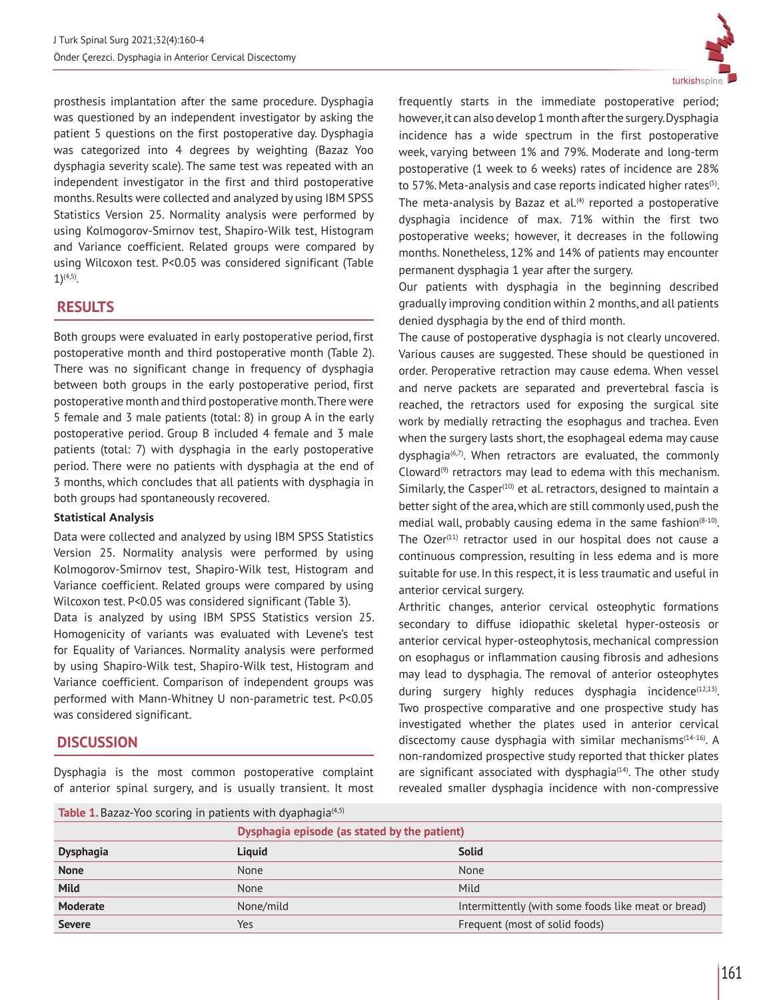prosthesis implantation after the same procedure. Dysphagia was questioned by an independent investigator by asking the patient 5 questions on the first postoperative day. Dysphagia was categorized into 4 degrees by weighting (Bazaz Yoo dysphagia severity scale). The same test was repeated with an independent investigator in the first and third postoperative months. Results were collected and analyzed by using IBM SPSS Statistics Version 25. Normality analysis were performed by using Kolmogorov-Smirnov test, Shapiro-Wilk test, Histogram and Variance coefficient. Related groups were compared by using Wilcoxon test. P<0.05 was considered significant (Table 1)(4,5).

# **RESULTS**

Both groups were evaluated in early postoperative period, first postoperative month and third postoperative month (Table 2). There was no significant change in frequency of dysphagia between both groups in the early postoperative period, first postoperative month and third postoperative month. There were 5 female and 3 male patients (total: 8) in group A in the early postoperative period. Group B included 4 female and 3 male patients (total: 7) with dysphagia in the early postoperative period. There were no patients with dysphagia at the end of 3 months, which concludes that all patients with dysphagia in both groups had spontaneously recovered.

#### **Statistical Analysis**

Data were collected and analyzed by using IBM SPSS Statistics Version 25. Normality analysis were performed by using Kolmogorov-Smirnov test, Shapiro-Wilk test, Histogram and Variance coefficient. Related groups were compared by using Wilcoxon test. P<0.05 was considered significant (Table 3).

Data is analyzed by using IBM SPSS Statistics version 25. Homogenicity of variants was evaluated with Levene's test for Equality of Variances. Normality analysis were performed by using Shapiro-Wilk test, Shapiro-Wilk test, Histogram and Variance coefficient. Comparison of independent groups was performed with Mann-Whitney U non-parametric test. P<0.05 was considered significant.

## **DISCUSSION**

Dysphagia is the most common postoperative complaint of anterior spinal surgery, and is usually transient. It most



frequently starts in the immediate postoperative period; however, it can also develop 1 month after the surgery. Dysphagia incidence has a wide spectrum in the first postoperative week, varying between 1% and 79%. Moderate and long-term postoperative (1 week to 6 weeks) rates of incidence are 28% to 57%. Meta-analysis and case reports indicated higher rates<sup>(5)</sup>. The meta-analysis by Bazaz et al. $(4)$  reported a postoperative dysphagia incidence of max. 71% within the first two postoperative weeks; however, it decreases in the following months. Nonetheless, 12% and 14% of patients may encounter permanent dysphagia 1 year after the surgery.

Our patients with dysphagia in the beginning described gradually improving condition within 2 months, and all patients denied dysphagia by the end of third month.

The cause of postoperative dysphagia is not clearly uncovered. Various causes are suggested. These should be questioned in order. Peroperative retraction may cause edema. When vessel and nerve packets are separated and prevertebral fascia is reached, the retractors used for exposing the surgical site work by medially retracting the esophagus and trachea. Even when the surgery lasts short, the esophageal edema may cause dysphagia $(6,7)$ . When retractors are evaluated, the commonly Cloward $(9)$  retractors may lead to edema with this mechanism. Similarly, the Casper $(10)$  et al. retractors, designed to maintain a better sight of the area, which are still commonly used, push the medial wall, probably causing edema in the same fashion $(8-10)$ . The Ozer $(11)$  retractor used in our hospital does not cause a continuous compression, resulting in less edema and is more suitable for use. In this respect, it is less traumatic and useful in anterior cervical surgery.

Arthritic changes, anterior cervical osteophytic formations secondary to diffuse idiopathic skeletal hyper-osteosis or anterior cervical hyper-osteophytosis, mechanical compression on esophagus or inflammation causing fibrosis and adhesions may lead to dysphagia. The removal of anterior osteophytes during surgery highly reduces dysphagia incidence $(12,13)$ . Two prospective comparative and one prospective study has investigated whether the plates used in anterior cervical discectomy cause dysphagia with similar mechanisms $(14-16)$ . A non-randomized prospective study reported that thicker plates are significant associated with dysphagia $(14)$ . The other study revealed smaller dysphagia incidence with non-compressive

**Table 1.** Bazaz-Yoo scoring in patients with dyaphagia<sup>(4,5)</sup>

|                  | Dysphagia episode (as stated by the patient) |                                                     |
|------------------|----------------------------------------------|-----------------------------------------------------|
| <b>Dysphagia</b> | Liguid                                       | <b>Solid</b>                                        |
| <b>None</b>      | None                                         | None                                                |
| <b>Mild</b>      | None                                         | Mild                                                |
| <b>Moderate</b>  | None/mild                                    | Intermittently (with some foods like meat or bread) |
| <b>Severe</b>    | Yes                                          | Frequent (most of solid foods)                      |
|                  |                                              |                                                     |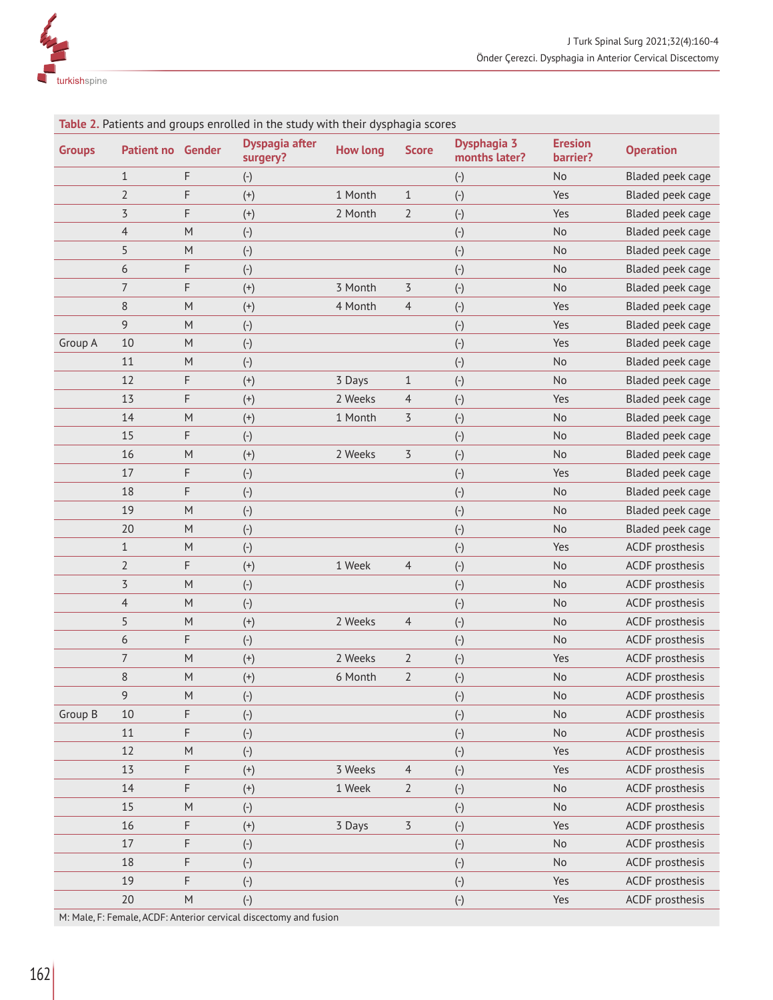

| <b>Groups</b> | <b>Patient no Gender</b> |           | <b>Table 2.</b> Patients and groups emotied in the study with their dysphagia scores<br><b>Dyspagia after</b><br>surgery? | <b>How long</b> | <b>Score</b>            | Dysphagia 3<br>months later? | <b>Eresion</b><br>barrier?   | <b>Operation</b> |
|---------------|--------------------------|-----------|---------------------------------------------------------------------------------------------------------------------------|-----------------|-------------------------|------------------------------|------------------------------|------------------|
|               | $\mathbf{1}$             | F         | $(\text{-})$                                                                                                              |                 |                         | $(\cdot)$                    | No                           | Bladed peek cage |
|               | $\overline{2}$           | F         | $^{(+)}$                                                                                                                  | 1 Month         | 1                       | $(\cdot)$                    | Yes                          | Bladed peek cage |
|               | $\overline{5}$           | F         | $^{(+)}$                                                                                                                  | 2 Month         | $\overline{2}$          | $\left( \text{-} \right)$    | Yes                          | Bladed peek cage |
|               | $\overline{4}$           | M         | $(\hbox{-})$                                                                                                              |                 |                         | $(\hbox{-})$                 | No                           | Bladed peek cage |
|               | 5                        | ${\sf M}$ | $(\hbox{-})$                                                                                                              |                 |                         | $\left( \text{-} \right)$    | No                           | Bladed peek cage |
|               | 6                        | F         | $(\hbox{-})$                                                                                                              |                 |                         | $(\hbox{-})$                 | No                           | Bladed peek cage |
|               | $\overline{7}$           | F         | $^{(+)}$                                                                                                                  | 3 Month         | 3                       | $\left( \text{-} \right)$    | No                           | Bladed peek cage |
|               | $\,8\,$                  | ${\sf M}$ | $^{(+)}$                                                                                                                  | 4 Month         | $\overline{4}$          | $\left( \text{-} \right)$    | Yes                          | Bladed peek cage |
|               | 9                        | M         | $\left( \text{-} \right)$                                                                                                 |                 |                         | $\left( \text{-} \right)$    | Yes                          | Bladed peek cage |
| Group A       | 10                       | ${\sf M}$ | $(\hbox{-})$                                                                                                              |                 |                         | $\left( \text{-} \right)$    | Yes                          | Bladed peek cage |
|               | 11                       | M         | $(\cdot)$                                                                                                                 |                 |                         | $(\cdot)$                    | No                           | Bladed peek cage |
|               | 12                       | F         | $^{(+)}$                                                                                                                  | 3 Days          | $\mathbf{1}$            | $\left( \text{-} \right)$    | No                           | Bladed peek cage |
|               | 13                       | F         | $^{(+)}$                                                                                                                  | 2 Weeks         | 4                       | $\left( \text{-} \right)$    | Yes                          | Bladed peek cage |
|               | 14                       | ${\sf M}$ | $^{(+)}$                                                                                                                  | 1 Month         | 3                       | $\left( \text{-} \right)$    | No                           | Bladed peek cage |
|               | 15                       | F         | $(\hbox{-})$                                                                                                              |                 |                         | $\left( \text{-} \right)$    | No                           | Bladed peek cage |
|               | 16                       | M         | $(+)$                                                                                                                     | 2 Weeks         | $\overline{5}$          | $\left( \text{-} \right)$    | No                           | Bladed peek cage |
|               | 17                       | F         | $(\hbox{-})$                                                                                                              |                 |                         | $\left( \text{-} \right)$    | Yes                          | Bladed peek cage |
|               | 18                       | F         | $\left( \text{-} \right)$                                                                                                 |                 |                         | $\left( \text{-} \right)$    | No                           | Bladed peek cage |
|               | 19                       | ${\sf M}$ | $\left( \text{-} \right)$                                                                                                 |                 |                         | $\left( \text{-} \right)$    | No                           | Bladed peek cage |
|               | 20                       | M         | $\left( \text{-} \right)$                                                                                                 |                 |                         | $\left( \text{-} \right)$    | No                           | Bladed peek cage |
|               | $\mathbf{1}$             | M         | $\left( \text{-} \right)$                                                                                                 |                 |                         | $\left( \text{-} \right)$    | Yes                          | ACDF prosthesis  |
|               | $\overline{2}$           | F         | $^{(+)}$                                                                                                                  | 1 Week          | 4                       | $(\cdot)$                    | No                           | ACDF prosthesis  |
|               | $\overline{5}$           | ${\sf M}$ | $(\hbox{-})$                                                                                                              |                 |                         | $\left( \text{-} \right)$    | No                           | ACDF prosthesis  |
|               | $\overline{4}$           | M         | $(\hbox{-})$                                                                                                              |                 |                         | $(\cdot)$                    | No                           | ACDF prosthesis  |
|               | 5                        | ${\sf M}$ | $^{(+)}$                                                                                                                  | 2 Weeks         | 4                       | $(\hbox{-})$                 | No                           | ACDF prosthesis  |
|               | 6                        | F         | $(\hbox{-})$                                                                                                              |                 |                         | $(\hbox{-})$                 | No                           | ACDF prosthesis  |
|               | $\boldsymbol{7}$         | ${\sf M}$ | $^{(+)}$                                                                                                                  | 2 Weeks         | $\overline{2}$          | $\left( \text{-} \right)$    | Yes                          | ACDF prosthesis  |
|               | $\,8\,$                  | ${\sf M}$ | $^{(+)}$                                                                                                                  | 6 Month         | $\overline{2}$          | $\left( \text{-} \right)$    | No                           | ACDF prosthesis  |
|               | 9                        | ${\sf M}$ | $(\hbox{-})$                                                                                                              |                 |                         | $(\hbox{-})$                 | No                           | ACDF prosthesis  |
| Group B       | 10                       | F         | $(\hbox{-})$                                                                                                              |                 |                         | $(\hbox{-})$                 | No                           | ACDF prosthesis  |
|               | 11                       | F         | $(\hbox{-})$                                                                                                              |                 |                         | $(\hbox{-})$                 | No                           | ACDF prosthesis  |
|               | 12                       | ${\sf M}$ | $(\hbox{-})$                                                                                                              |                 |                         | $(\hbox{-})$                 | Yes                          | ACDF prosthesis  |
|               | 13                       | F         | $^{(+)}$                                                                                                                  | 3 Weeks         | $\overline{4}$          | $(\hbox{-})$                 | Yes                          | ACDF prosthesis  |
|               | 14                       | F         | $^{(+)}$                                                                                                                  | 1 Week          | $\overline{2}$          | $(\hbox{-})$                 | No                           | ACDF prosthesis  |
|               | 15                       | ${\sf M}$ | $(\hbox{-})$                                                                                                              |                 |                         | $(\hbox{-})$                 | $\operatorname{\mathsf{No}}$ | ACDF prosthesis  |
|               | 16                       | F         | $(+)$                                                                                                                     | 3 Days          | $\overline{\mathbf{5}}$ | $(\hbox{-})$                 | Yes                          | ACDF prosthesis  |
|               | $17$                     | F         | $(\hbox{-})$                                                                                                              |                 |                         | $(\hbox{-})$                 | No                           | ACDF prosthesis  |
|               | 18                       | F         | $(\hbox{-})$                                                                                                              |                 |                         | $(\hbox{-})$                 | No                           | ACDF prosthesis  |
|               | 19                       | F         | $(\hbox{-})$                                                                                                              |                 |                         | $(\hbox{-})$                 | Yes                          | ACDF prosthesis  |
|               | $20\,$                   | ${\sf M}$ | $(-)$                                                                                                                     |                 |                         | $(-)$                        | Yes                          | ACDF prosthesis  |

**Table 2.** Patients and groups enrolled in the study with their dysphagia

M: Male, F: Female, ACDF: Anterior cervical discectomy and fusion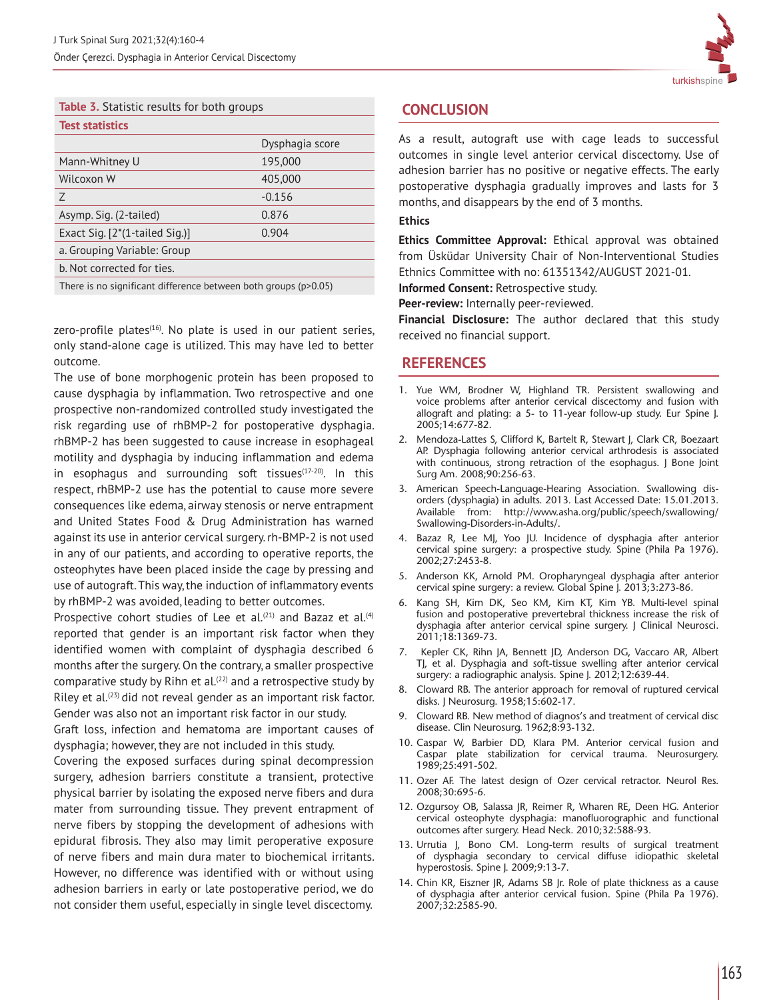

| <b>Table 3.</b> Statistic results for both groups |  |  |  |
|---------------------------------------------------|--|--|--|
|                                                   |  |  |  |

| <b>Test statistics</b>                                          |                 |  |
|-----------------------------------------------------------------|-----------------|--|
|                                                                 | Dysphagia score |  |
| Mann-Whitney U                                                  | 195,000         |  |
| Wilcoxon W                                                      | 405,000         |  |
| Ζ                                                               | $-0.156$        |  |
| Asymp. Sig. (2-tailed)                                          | 0.876           |  |
| Exact Sig. $[2*(1-tailed Sig.)]$                                | 0.904           |  |
| a. Grouping Variable: Group                                     |                 |  |
| b. Not corrected for ties.                                      |                 |  |
| There is no significant difference between both groups (p>0.05) |                 |  |

zero-profile plates $(16)$ . No plate is used in our patient series, only stand-alone cage is utilized. This may have led to better outcome.

The use of bone morphogenic protein has been proposed to cause dysphagia by inflammation. Two retrospective and one prospective non-randomized controlled study investigated the risk regarding use of rhBMP-2 for postoperative dysphagia. rhBMP-2 has been suggested to cause increase in esophageal motility and dysphagia by inducing inflammation and edema in esophagus and surrounding soft tissues $(17-20)$ . In this respect, rhBMP-2 use has the potential to cause more severe consequences like edema, airway stenosis or nerve entrapment and United States Food & Drug Administration has warned against its use in anterior cervical surgery. rh-BMP-2 is not used in any of our patients, and according to operative reports, the osteophytes have been placed inside the cage by pressing and use of autograft. This way, the induction of inflammatory events by rhBMP-2 was avoided, leading to better outcomes.

Prospective cohort studies of Lee et al. $(21)$  and Bazaz et al. $(4)$ reported that gender is an important risk factor when they identified women with complaint of dysphagia described 6 months after the surgery. On the contrary, a smaller prospective comparative study by Rihn et al. $(22)$  and a retrospective study by Riley et al.<sup>(23)</sup> did not reveal gender as an important risk factor. Gender was also not an important risk factor in our study.

Graft loss, infection and hematoma are important causes of dysphagia; however, they are not included in this study.

Covering the exposed surfaces during spinal decompression surgery, adhesion barriers constitute a transient, protective physical barrier by isolating the exposed nerve fibers and dura mater from surrounding tissue. They prevent entrapment of nerve fibers by stopping the development of adhesions with epidural fibrosis. They also may limit peroperative exposure of nerve fibers and main dura mater to biochemical irritants. However, no difference was identified with or without using adhesion barriers in early or late postoperative period, we do not consider them useful, especially in single level discectomy.

# **CONCLUSION**

As a result, autograft use with cage leads to successful outcomes in single level anterior cervical discectomy. Use of adhesion barrier has no positive or negative effects. The early postoperative dysphagia gradually improves and lasts for 3 months, and disappears by the end of 3 months.

#### **Ethics**

**Ethics Committee Approval:** Ethical approval was obtained from Üsküdar University Chair of Non-Interventional Studies Ethnics Committee with no: 61351342/AUGUST 2021-01.

**Informed Consent:** Retrospective study.

**Peer-review:** Internally peer-reviewed.

**Financial Disclosure:** The author declared that this study received no financial support.

# **REFERENCES**

- 1. Yue WM, Brodner W, Highland TR. Persistent swallowing and voice problems after anterior cervical discectomy and fusion with allograft and plating: a 5- to 11-year follow-up study. Eur Spine J. 2005;14:677-82.
- 2. Mendoza-Lattes S, Clifford K, Bartelt R, Stewart J, Clark CR, Boezaart AP. Dysphagia following anterior cervical arthrodesis is associated with continuous, strong retraction of the esophagus. J Bone Joint Surg Am. 2008;90:256-63.
- 3. American Speech-Language-Hearing Association. Swallowing disorders (dysphagia) in adults. 2013. Last Accessed Date: 15.01.2013. Available from: http://www.asha.org/public/speech/swallowing/ Swallowing-Disorders-in-Adults/.
- 4. Bazaz R, Lee MJ, Yoo JU. Incidence of dysphagia after anterior cervical spine surgery: a prospective study. Spine (Phila Pa 1976). 2002;27:2453-8.
- 5. Anderson KK, Arnold PM. Oropharyngeal dysphagia after anterior cervical spine surgery: a review. Global Spine J. 2013;3:273-86.
- 6. Kang SH, Kim DK, Seo KM, Kim KT, Kim YB. Multi-level spinal fusion and postoperative prevertebral thickness increase the risk of dysphagia after anterior cervical spine surgery. J Clinical Neurosci. 2011;18:1369-73.
- 7. Kepler CK, Rihn JA, Bennett JD, Anderson DG, Vaccaro AR, Albert TJ, et al. Dysphagia and soft-tissue swelling after anterior cervical surgery: a radiographic analysis. Spine J. 2012;12:639-44.
- 8. Cloward RB. The anterior approach for removal of ruptured cervical disks. J Neurosurg. 1958;15:602-17.
- 9. Cloward RB. New method of diagnos's and treatment of cervical disc disease. Clin Neurosurg. 1962;8:93-132.
- 10. Caspar W, Barbier DD, Klara PM. Anterior cervical fusion and Caspar plate stabilization for cervical trauma. Neurosurgery. 1989;25:491-502.
- 11. Ozer AF. The latest design of Ozer cervical retractor. Neurol Res. 2008;30:695-6.
- 12. Ozgursoy OB, Salassa JR, Reimer R, Wharen RE, Deen HG. Anterior cervical osteophyte dysphagia: manofluorographic and functional outcomes after surgery. Head Neck. 2010;32:588-93.
- 13. Urrutia J, Bono CM. Long-term results of surgical treatment of dysphagia secondary to cervical diffuse idiopathic skeletal hyperostosis. Spine J. 2009;9:13-7.
- 14. Chin KR, Eiszner JR, Adams SB Jr. Role of plate thickness as a cause of dysphagia after anterior cervical fusion. Spine (Phila Pa 1976). 2007;32:2585-90.